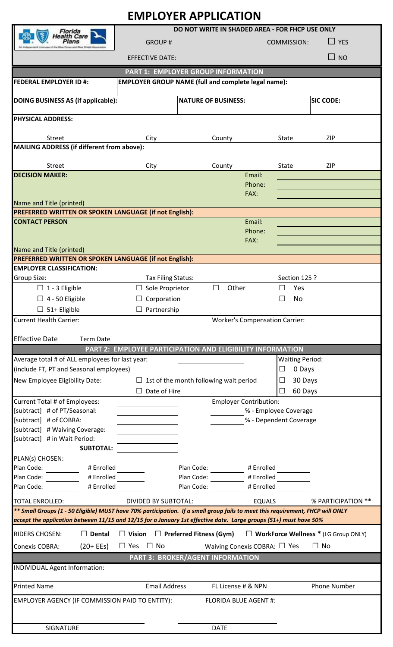| <b>EMPLOYER APPLICATION</b>                                                                                                                                                                                                                         |                                                            |                                         |                                       |                                    |                                             |  |
|-----------------------------------------------------------------------------------------------------------------------------------------------------------------------------------------------------------------------------------------------------|------------------------------------------------------------|-----------------------------------------|---------------------------------------|------------------------------------|---------------------------------------------|--|
| Florida                                                                                                                                                                                                                                             | DO NOT WRITE IN SHADED AREA - FOR FHCP USE ONLY            |                                         |                                       |                                    |                                             |  |
| lealth Care<br>inensee of the Blue Orosa and Blue Shield Associat                                                                                                                                                                                   | <b>GROUP#</b>                                              |                                         |                                       | $\sqcup$ yes<br><b>COMMISSION:</b> |                                             |  |
|                                                                                                                                                                                                                                                     | <b>EFFECTIVE DATE:</b>                                     |                                         |                                       |                                    | $\Box$ NO                                   |  |
| <b>PART 1: EMPLOYER GROUP INFORMATION</b>                                                                                                                                                                                                           |                                                            |                                         |                                       |                                    |                                             |  |
| <b>FEDERAL EMPLOYER ID #:</b><br><b>EMPLOYER GROUP NAME (full and complete legal name):</b>                                                                                                                                                         |                                                            |                                         |                                       |                                    |                                             |  |
| DOING BUSINESS AS (if applicable):                                                                                                                                                                                                                  |                                                            | <b>NATURE OF BUSINESS:</b>              |                                       |                                    | <b>SIC CODE:</b>                            |  |
| <b>PHYSICAL ADDRESS:</b>                                                                                                                                                                                                                            |                                                            |                                         |                                       |                                    |                                             |  |
|                                                                                                                                                                                                                                                     |                                                            |                                         |                                       |                                    |                                             |  |
| <b>Street</b><br>MAILING ADDRESS (if different from above):                                                                                                                                                                                         | City                                                       | County                                  |                                       | State                              | <b>ZIP</b>                                  |  |
|                                                                                                                                                                                                                                                     |                                                            |                                         |                                       |                                    |                                             |  |
| <b>Street</b>                                                                                                                                                                                                                                       | City                                                       | County                                  |                                       | <b>State</b>                       | <b>ZIP</b>                                  |  |
| <b>DECISION MAKER:</b>                                                                                                                                                                                                                              |                                                            |                                         | Email:<br>Phone:                      |                                    |                                             |  |
|                                                                                                                                                                                                                                                     |                                                            |                                         | FAX:                                  |                                    |                                             |  |
| Name and Title (printed)                                                                                                                                                                                                                            |                                                            |                                         |                                       |                                    |                                             |  |
| PREFERRED WRITTEN OR SPOKEN LANGUAGE (if not English):                                                                                                                                                                                              |                                                            |                                         |                                       |                                    |                                             |  |
| <b>CONTACT PERSON</b>                                                                                                                                                                                                                               |                                                            |                                         | Email:<br>Phone:                      |                                    |                                             |  |
|                                                                                                                                                                                                                                                     |                                                            |                                         | FAX:                                  |                                    |                                             |  |
| Name and Title (printed)                                                                                                                                                                                                                            |                                                            |                                         |                                       |                                    |                                             |  |
| PREFERRED WRITTEN OR SPOKEN LANGUAGE (if not English):                                                                                                                                                                                              |                                                            |                                         |                                       |                                    |                                             |  |
| <b>EMPLOYER CLASSIFICATION:</b><br><b>Group Size:</b>                                                                                                                                                                                               |                                                            |                                         |                                       |                                    |                                             |  |
| $\Box$ 1 - 3 Eligible                                                                                                                                                                                                                               | Tax Filing Status:<br>$\Box$ Sole Proprietor               | Other<br>$\Box$                         |                                       | Section 125 ?<br>Yes<br>ப          |                                             |  |
| $\Box$ 4 - 50 Eligible                                                                                                                                                                                                                              | Corporation                                                |                                         |                                       | $\Box$<br>No                       |                                             |  |
| $\Box$ 51+ Eligible                                                                                                                                                                                                                                 | Partnership                                                |                                         |                                       |                                    |                                             |  |
| <b>Current Health Carrier:</b>                                                                                                                                                                                                                      |                                                            |                                         | <b>Worker's Compensation Carrier:</b> |                                    |                                             |  |
|                                                                                                                                                                                                                                                     |                                                            |                                         |                                       |                                    |                                             |  |
| <b>Effective Date</b><br><b>Term Date</b>                                                                                                                                                                                                           |                                                            |                                         |                                       |                                    |                                             |  |
|                                                                                                                                                                                                                                                     | PART 2: EMPLOYEE PARTICIPATION AND ELIGIBILITY INFORMATION |                                         |                                       |                                    |                                             |  |
| Average total # of ALL employees for last year:                                                                                                                                                                                                     |                                                            |                                         |                                       | <b>Waiting Period:</b>             |                                             |  |
| (include FT, PT and Seasonal employees)                                                                                                                                                                                                             |                                                            |                                         |                                       | 0 Days<br>⊔<br>$\Box$              |                                             |  |
| New Employee Eligibility Date:<br>$\Box$ 1st of the month following wait period<br>Date of Hire<br>$\perp$                                                                                                                                          |                                                            |                                         |                                       | 30 Days<br>60 Days<br>$\Box$       |                                             |  |
| Current Total # of Employees:                                                                                                                                                                                                                       |                                                            |                                         | <b>Employer Contribution:</b>         |                                    |                                             |  |
| [subtract] # of PT/Seasonal:                                                                                                                                                                                                                        |                                                            |                                         | % - Employee Coverage                 |                                    |                                             |  |
| [subtract] # of COBRA:                                                                                                                                                                                                                              | % - Dependent Coverage                                     |                                         |                                       |                                    |                                             |  |
| [subtract] # Waiving Coverage:                                                                                                                                                                                                                      |                                                            |                                         |                                       |                                    |                                             |  |
| [subtract] # in Wait Period:                                                                                                                                                                                                                        |                                                            |                                         |                                       |                                    |                                             |  |
| <b>SUBTOTAL:</b><br>PLAN(s) CHOSEN:                                                                                                                                                                                                                 |                                                            |                                         |                                       |                                    |                                             |  |
| Plan Code:<br># Enrolled                                                                                                                                                                                                                            |                                                            | Plan Code:                              | # Enrolled                            |                                    |                                             |  |
| Plan Code:<br># Enrolled                                                                                                                                                                                                                            |                                                            | Plan Code:                              | # Enrolled                            |                                    |                                             |  |
| Plan Code:<br># Enrolled                                                                                                                                                                                                                            |                                                            | Plan Code:                              | # Enrolled                            |                                    |                                             |  |
| <b>TOTAL ENROLLED:</b>                                                                                                                                                                                                                              | <b>DIVIDED BY SUBTOTAL:</b>                                |                                         | <b>EQUALS</b>                         |                                    | % PARTICIPATION **                          |  |
| ** Small Groups (1 - 50 Eligible) MUST have 70% participation. If a small group fails to meet this requirement, FHCP will ONLY<br>accept the application between 11/15 and 12/15 for a January 1st effective date. Large groups (51+) must have 50% |                                                            |                                         |                                       |                                    |                                             |  |
|                                                                                                                                                                                                                                                     |                                                            |                                         |                                       |                                    |                                             |  |
| <b>RIDERS CHOSEN:</b><br>$\Box$ Dental                                                                                                                                                                                                              | $\Box$ Vision                                              | $\Box$ Preferred Fitness (Gym)          |                                       |                                    | $\Box$ WorkForce Wellness * (LG Group ONLY) |  |
| <b>Conexis COBRA:</b><br>$(20 + EEs)$                                                                                                                                                                                                               | $\Box$ Yes<br>$\Box$ No                                    | Waiving Conexis COBRA: $\Box$ Yes       |                                       |                                    | $\Box$ No                                   |  |
|                                                                                                                                                                                                                                                     |                                                            | <b>PART 3: BROKER/AGENT INFORMATION</b> |                                       |                                    |                                             |  |
| <b>INDIVIDUAL Agent Information:</b>                                                                                                                                                                                                                |                                                            |                                         |                                       |                                    |                                             |  |
| <b>Printed Name</b>                                                                                                                                                                                                                                 | <b>Email Address</b>                                       |                                         | FL License # & NPN                    |                                    | Phone Number                                |  |
| EMPLOYER AGENCY (IF COMMISSION PAID TO ENTITY):<br><b>FLORIDA BLUE AGENT #:</b>                                                                                                                                                                     |                                                            |                                         |                                       |                                    |                                             |  |
|                                                                                                                                                                                                                                                     |                                                            |                                         |                                       |                                    |                                             |  |
| SIGNATURE                                                                                                                                                                                                                                           |                                                            | <b>DATE</b>                             |                                       |                                    |                                             |  |
|                                                                                                                                                                                                                                                     |                                                            |                                         |                                       |                                    |                                             |  |